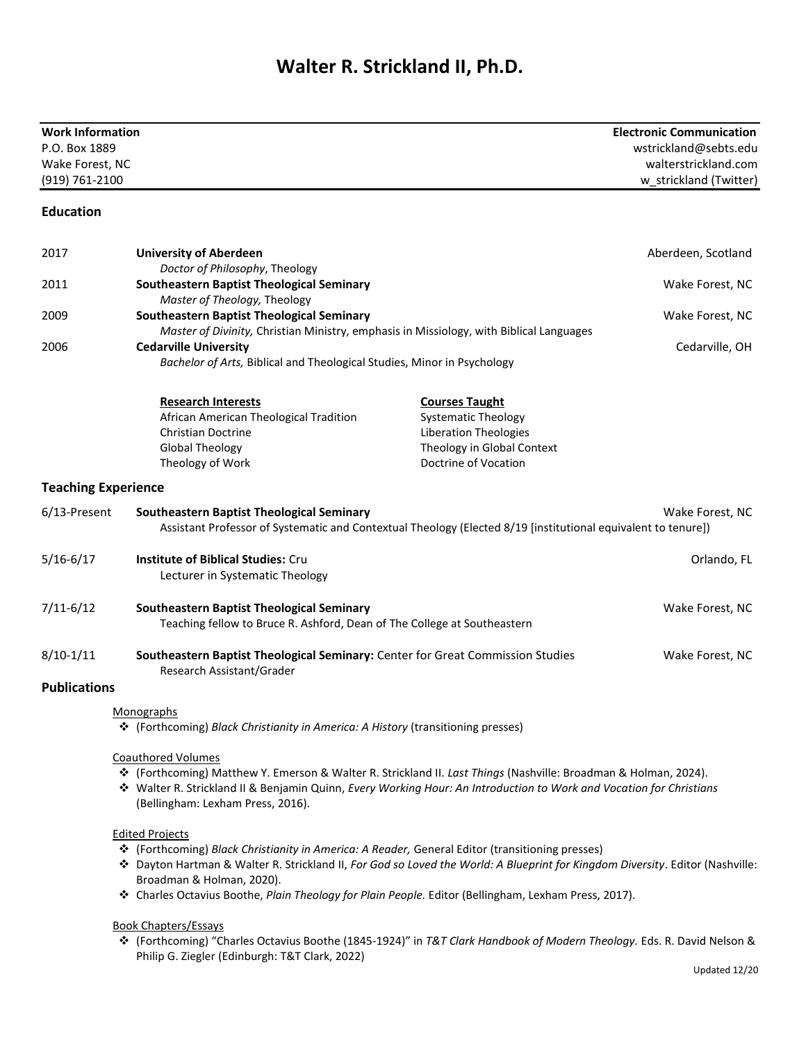## **Walter R. Strickland II, Ph.D.**

| <b>Work Information</b><br>P.O. Box 1889<br>Wake Forest, NC<br>(919) 761-2100 |                                                                                                                                                                                                                                                                                                          | <b>Electronic Communication</b><br>wstrickland@sebts.edu<br>walterstrickland.com<br>w_strickland (Twitter)                                |
|-------------------------------------------------------------------------------|----------------------------------------------------------------------------------------------------------------------------------------------------------------------------------------------------------------------------------------------------------------------------------------------------------|-------------------------------------------------------------------------------------------------------------------------------------------|
| <b>Education</b>                                                              |                                                                                                                                                                                                                                                                                                          |                                                                                                                                           |
| 2017                                                                          | <b>University of Aberdeen</b><br>Doctor of Philosophy, Theology                                                                                                                                                                                                                                          | Aberdeen, Scotland                                                                                                                        |
| 2011                                                                          | <b>Southeastern Baptist Theological Seminary</b><br>Master of Theology, Theology                                                                                                                                                                                                                         | Wake Forest, NC                                                                                                                           |
| 2009                                                                          | <b>Southeastern Baptist Theological Seminary</b><br>Master of Divinity, Christian Ministry, emphasis in Missiology, with Biblical Languages                                                                                                                                                              | Wake Forest, NC                                                                                                                           |
| 2006                                                                          | <b>Cedarville University</b><br>Bachelor of Arts, Biblical and Theological Studies, Minor in Psychology                                                                                                                                                                                                  | Cedarville, OH                                                                                                                            |
|                                                                               | <b>Research Interests</b><br>African American Theological Tradition<br><b>Christian Doctrine</b><br><b>Global Theology</b><br>Theology of Work                                                                                                                                                           | <b>Courses Taught</b><br><b>Systematic Theology</b><br><b>Liberation Theologies</b><br>Theology in Global Context<br>Doctrine of Vocation |
| <b>Teaching Experience</b>                                                    |                                                                                                                                                                                                                                                                                                          |                                                                                                                                           |
| 6/13-Present                                                                  | <b>Southeastern Baptist Theological Seminary</b><br>Assistant Professor of Systematic and Contextual Theology (Elected 8/19 [institutional equivalent to tenure])                                                                                                                                        | Wake Forest, NC                                                                                                                           |
| $5/16 - 6/17$                                                                 | <b>Institute of Biblical Studies: Cru</b><br>Lecturer in Systematic Theology                                                                                                                                                                                                                             | Orlando, FL                                                                                                                               |
| $7/11 - 6/12$                                                                 | <b>Southeastern Baptist Theological Seminary</b><br>Teaching fellow to Bruce R. Ashford, Dean of The College at Southeastern                                                                                                                                                                             | Wake Forest, NC                                                                                                                           |
| $8/10-1/11$                                                                   | Southeastern Baptist Theological Seminary: Center for Great Commission Studies<br>Research Assistant/Grader                                                                                                                                                                                              | Wake Forest, NC                                                                                                                           |
| <b>Publications</b>                                                           |                                                                                                                                                                                                                                                                                                          |                                                                                                                                           |
|                                                                               | Monographs<br>* (Forthcoming) Black Christianity in America: A History (transitioning presses)                                                                                                                                                                                                           |                                                                                                                                           |
|                                                                               | <b>Coauthored Volumes</b><br>❖ (Forthcoming) Matthew Y. Emerson & Walter R. Strickland II. Last Things (Nashville: Broadman & Holman, 2024).<br>❖ Walter R. Strickland II & Benjamin Quinn, Every Working Hour: An Introduction to Work and Vocation for Christians<br>(Bellingham: Lexham Press, 2016). |                                                                                                                                           |
|                                                                               | <b>Edited Projects</b><br>❖ (Forthcoming) Black Christianity in America: A Reader, General Editor (transitioning presses)<br>* Dayton Hartman & Walter R. Strickland II, For God so Loved the World: A Blueprint for Kingdom Diversity. Editor (Nashville:<br>Broadman & Holman, 2020).                  |                                                                                                                                           |

❖ Charles Octavius Boothe, *Plain Theology for Plain People.* Editor (Bellingham, Lexham Press, 2017).

## Book Chapters/Essays

❖ (Forthcoming) "Charles Octavius Boothe (1845-1924)" in *T&T Clark Handbook of Modern Theology.* Eds. R. David Nelson & Philip G. Ziegler (Edinburgh: T&T Clark, 2022)